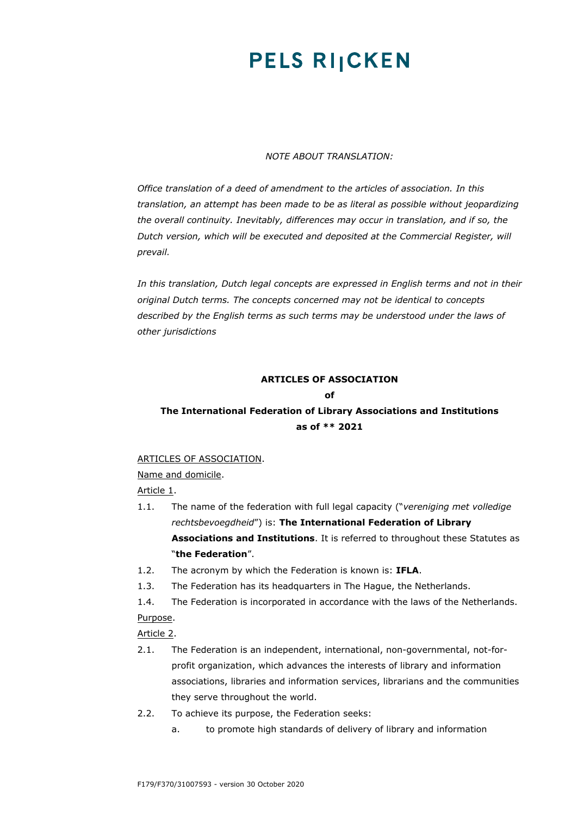# **PELS RIJCKEN**

### *NOTE ABOUT TRANSLATION:*

*Office translation of a deed of amendment to the articles of association. In this translation, an attempt has been made to be as literal as possible without jeopardizing the overall continuity. Inevitably, differences may occur in translation, and if so, the Dutch version, which will be executed and deposited at the Commercial Register, will prevail.*

*In this translation, Dutch legal concepts are expressed in English terms and not in their original Dutch terms. The concepts concerned may not be identical to concepts described by the English terms as such terms may be understood under the laws of other jurisdictions*

## **ARTICLES OF ASSOCIATION**

### **of**

# **The International Federation of Library Associations and Institutions as of \*\* 2021**

### ARTICLES OF ASSOCIATION.

Name and domicile.

Article 1.

- 1.1. The name of the federation with full legal capacity ("*vereniging met volledige rechtsbevoegdheid*") is: **The International Federation of Library Associations and Institutions**. It is referred to throughout these Statutes as "**the Federation**".
- 1.2. The acronym by which the Federation is known is: **IFLA**.
- 1.3. The Federation has its headquarters in The Hague, the Netherlands.
- 1.4. The Federation is incorporated in accordance with the laws of the Netherlands.

### Purpose.

Article 2.

- 2.1. The Federation is an independent, international, non-governmental, not-forprofit organization, which advances the interests of library and information associations, libraries and information services, librarians and the communities they serve throughout the world.
- 2.2. To achieve its purpose, the Federation seeks:
	- a. to promote high standards of delivery of library and information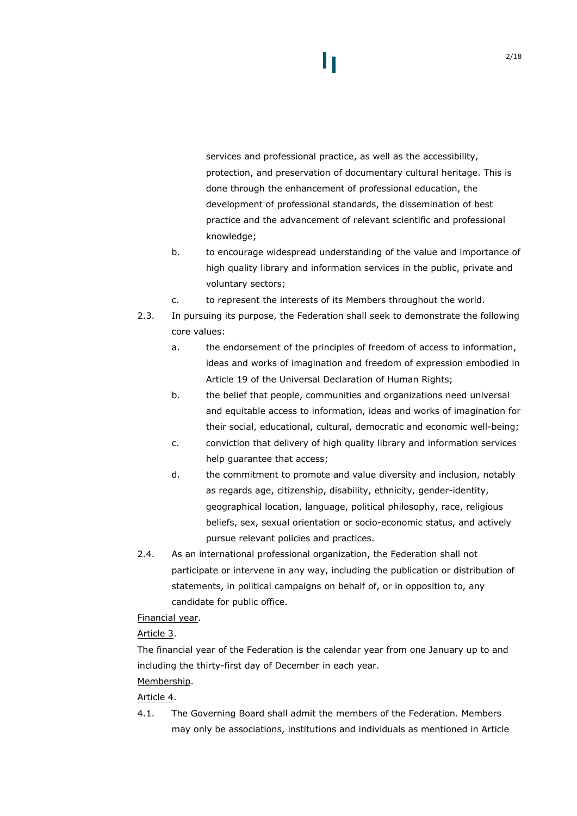# services and professional practice, as well as the accessibility, protection, and preservation of documentary cultural heritage. This is done through the enhancement of professional education, the development of professional standards, the dissemination of best practice and the advancement of relevant scientific and professional knowledge;

- b. to encourage widespread understanding of the value and importance of high quality library and information services in the public, private and voluntary sectors;
- c. to represent the interests of its Members throughout the world.
- 2.3. In pursuing its purpose, the Federation shall seek to demonstrate the following core values:
	- a. the endorsement of the principles of freedom of access to information, ideas and works of imagination and freedom of expression embodied in Article 19 of the Universal Declaration of Human Rights;
	- b. the belief that people, communities and organizations need universal and equitable access to information, ideas and works of imagination for their social, educational, cultural, democratic and economic well-being;
	- c. conviction that delivery of high quality library and information services help guarantee that access;
	- d. the commitment to promote and value diversity and inclusion, notably as regards age, citizenship, disability, ethnicity, gender-identity, geographical location, language, political philosophy, race, religious beliefs, sex, sexual orientation or socio-economic status, and actively pursue relevant policies and practices.
- 2.4. As an international professional organization, the Federation shall not participate or intervene in any way, including the publication or distribution of statements, in political campaigns on behalf of, or in opposition to, any candidate for public office.

### Financial year.

## Article 3.

The financial year of the Federation is the calendar year from one January up to and including the thirty-first day of December in each year.

## Membership.

## Article 4.

4.1. The Governing Board shall admit the members of the Federation. Members may only be associations, institutions and individuals as mentioned in Article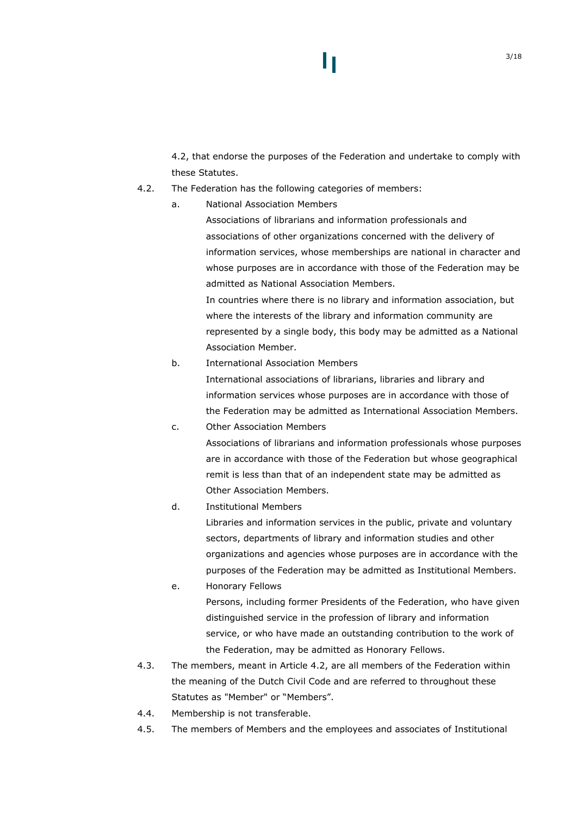[4.2,](#page-2-0) that endorse the purposes of the Federation and undertake to comply with these Statutes.

- <span id="page-2-0"></span>4.2. The Federation has the following categories of members:
	- a. National Association Members

Associations of librarians and information professionals and associations of other organizations concerned with the delivery of information services, whose memberships are national in character and whose purposes are in accordance with those of the Federation may be admitted as National Association Members.

In countries where there is no library and information association, but where the interests of the library and information community are represented by a single body, this body may be admitted as a National Association Member.

b. International Association Members

International associations of librarians, libraries and library and information services whose purposes are in accordance with those of the Federation may be admitted as International Association Members.

- c. Other Association Members Associations of librarians and information professionals whose purposes are in accordance with those of the Federation but whose geographical remit is less than that of an independent state may be admitted as Other Association Members.
- d. Institutional Members

Libraries and information services in the public, private and voluntary sectors, departments of library and information studies and other organizations and agencies whose purposes are in accordance with the purposes of the Federation may be admitted as Institutional Members.

- e. Honorary Fellows Persons, including former Presidents of the Federation, who have given distinguished service in the profession of library and information service, or who have made an outstanding contribution to the work of the Federation, may be admitted as Honorary Fellows.
- 4.3. The members, meant in Article [4.2](#page-2-0), are all members of the Federation within the meaning of the Dutch Civil Code and are referred to throughout these Statutes as "Member" or "Members".
- 4.4. Membership is not transferable.
- 4.5. The members of Members and the employees and associates of Institutional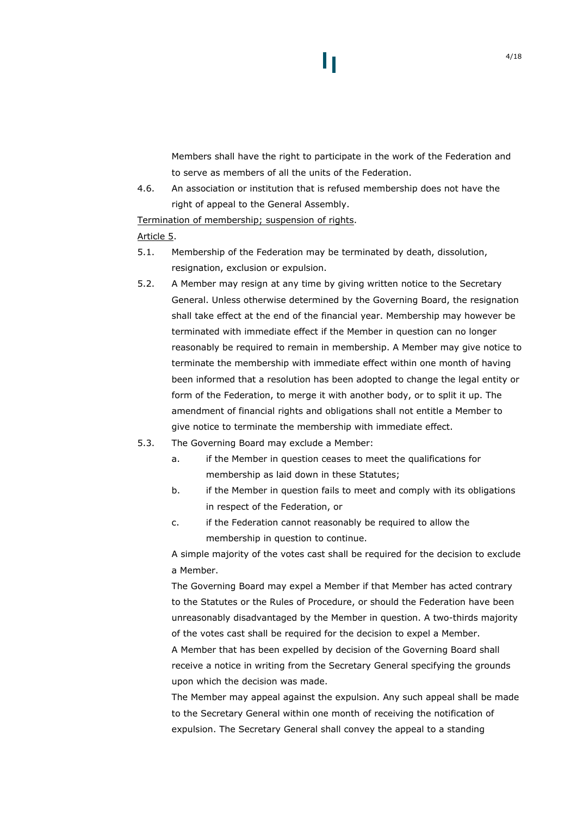Members shall have the right to participate in the work of the Federation and to serve as members of all the units of the Federation.

H

4.6. An association or institution that is refused membership does not have the right of appeal to the General Assembly.

Termination of membership; suspension of rights.

### Article 5.

- 5.1. Membership of the Federation may be terminated by death, dissolution, resignation, exclusion or expulsion.
- 5.2. A Member may resign at any time by giving written notice to the Secretary General. Unless otherwise determined by the Governing Board, the resignation shall take effect at the end of the financial year. Membership may however be terminated with immediate effect if the Member in question can no longer reasonably be required to remain in membership. A Member may give notice to terminate the membership with immediate effect within one month of having been informed that a resolution has been adopted to change the legal entity or form of the Federation, to merge it with another body, or to split it up. The amendment of financial rights and obligations shall not entitle a Member to give notice to terminate the membership with immediate effect.
- 5.3. The Governing Board may exclude a Member:
	- a. if the Member in question ceases to meet the qualifications for membership as laid down in these Statutes;
	- b. if the Member in question fails to meet and comply with its obligations in respect of the Federation, or
	- c. if the Federation cannot reasonably be required to allow the membership in question to continue.

A simple majority of the votes cast shall be required for the decision to exclude a Member.

The Governing Board may expel a Member if that Member has acted contrary to the Statutes or the Rules of Procedure, or should the Federation have been unreasonably disadvantaged by the Member in question. A two-thirds majority of the votes cast shall be required for the decision to expel a Member.

A Member that has been expelled by decision of the Governing Board shall receive a notice in writing from the Secretary General specifying the grounds upon which the decision was made.

The Member may appeal against the expulsion. Any such appeal shall be made to the Secretary General within one month of receiving the notification of expulsion. The Secretary General shall convey the appeal to a standing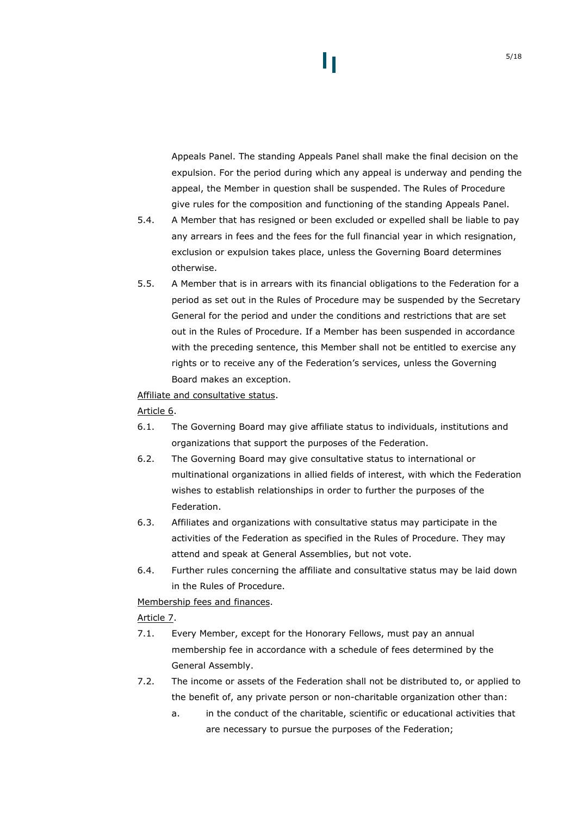# H

Appeals Panel. The standing Appeals Panel shall make the final decision on the expulsion. For the period during which any appeal is underway and pending the appeal, the Member in question shall be suspended. The Rules of Procedure give rules for the composition and functioning of the standing Appeals Panel.

- 5.4. A Member that has resigned or been excluded or expelled shall be liable to pay any arrears in fees and the fees for the full financial year in which resignation, exclusion or expulsion takes place, unless the Governing Board determines otherwise.
- 5.5. A Member that is in arrears with its financial obligations to the Federation for a period as set out in the Rules of Procedure may be suspended by the Secretary General for the period and under the conditions and restrictions that are set out in the Rules of Procedure. If a Member has been suspended in accordance with the preceding sentence, this Member shall not be entitled to exercise any rights or to receive any of the Federation's services, unless the Governing Board makes an exception.

### Affiliate and consultative status.

Article 6.

- 6.1. The Governing Board may give affiliate status to individuals, institutions and organizations that support the purposes of the Federation.
- 6.2. The Governing Board may give consultative status to international or multinational organizations in allied fields of interest, with which the Federation wishes to establish relationships in order to further the purposes of the Federation.
- 6.3. Affiliates and organizations with consultative status may participate in the activities of the Federation as specified in the Rules of Procedure. They may attend and speak at General Assemblies, but not vote.
- 6.4. Further rules concerning the affiliate and consultative status may be laid down in the Rules of Procedure.

Membership fees and finances.

Article 7.

- 7.1. Every Member, except for the Honorary Fellows, must pay an annual membership fee in accordance with a schedule of fees determined by the General Assembly.
- <span id="page-4-0"></span>7.2. The income or assets of the Federation shall not be distributed to, or applied to the benefit of, any private person or non-charitable organization other than:
	- a. in the conduct of the charitable, scientific or educational activities that are necessary to pursue the purposes of the Federation;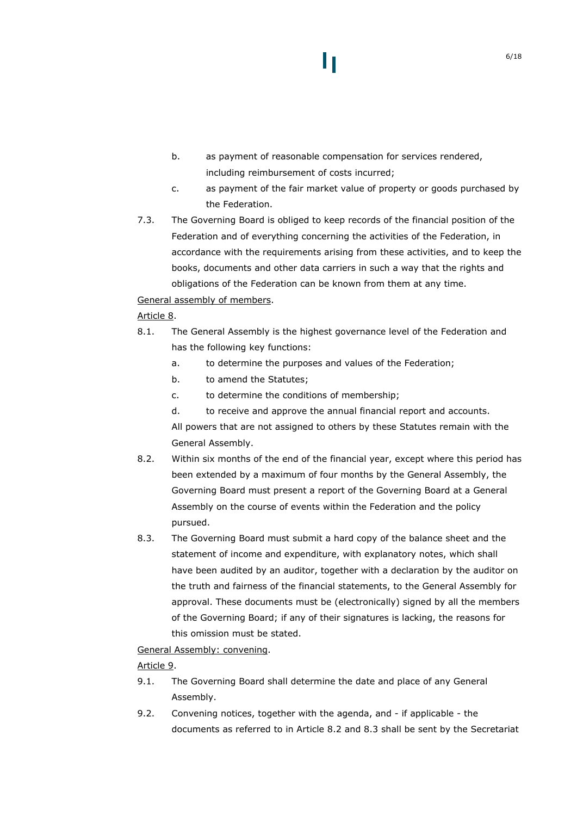- b. as payment of reasonable compensation for services rendered, including reimbursement of costs incurred;
- c. as payment of the fair market value of property or goods purchased by the Federation.
- 7.3. The Governing Board is obliged to keep records of the financial position of the Federation and of everything concerning the activities of the Federation, in accordance with the requirements arising from these activities, and to keep the books, documents and other data carriers in such a way that the rights and obligations of the Federation can be known from them at any time.

### General assembly of members.

### Article 8.

- 8.1. The General Assembly is the highest governance level of the Federation and has the following key functions:
	- a. to determine the purposes and values of the Federation;
	- b. to amend the Statutes;
	- c. to determine the conditions of membership;
	- d. to receive and approve the annual financial report and accounts. All powers that are not assigned to others by these Statutes remain with the General Assembly.
- <span id="page-5-0"></span>8.2. Within six months of the end of the financial year, except where this period has been extended by a maximum of four months by the General Assembly, the Governing Board must present a report of the Governing Board at a General Assembly on the course of events within the Federation and the policy pursued.
- <span id="page-5-1"></span>8.3. The Governing Board must submit a hard copy of the balance sheet and the statement of income and expenditure, with explanatory notes, which shall have been audited by an auditor, together with a declaration by the auditor on the truth and fairness of the financial statements, to the General Assembly for approval. These documents must be (electronically) signed by all the members of the Governing Board; if any of their signatures is lacking, the reasons for this omission must be stated.

### General Assembly: convening.

### Article 9.

- 9.1. The Governing Board shall determine the date and place of any General Assembly.
- 9.2. Convening notices, together with the agenda, and if applicable the documents as referred to in Article [8.2](#page-5-0) and [8.3](#page-5-1) shall be sent by the Secretariat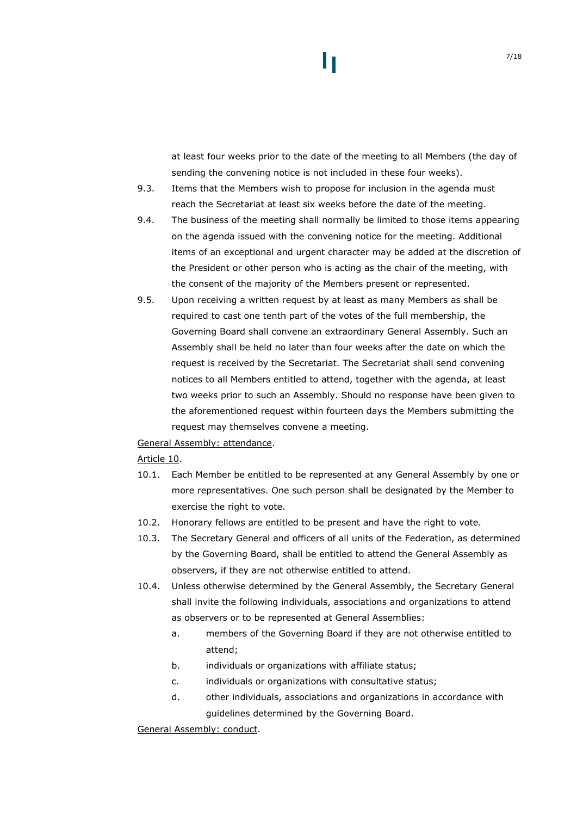## at least four weeks prior to the date of the meeting to all Members (the day of sending the convening notice is not included in these four weeks).

- 9.3. Items that the Members wish to propose for inclusion in the agenda must reach the Secretariat at least six weeks before the date of the meeting.
- 9.4. The business of the meeting shall normally be limited to those items appearing on the agenda issued with the convening notice for the meeting. Additional items of an exceptional and urgent character may be added at the discretion of the President or other person who is acting as the chair of the meeting, with the consent of the majority of the Members present or represented.
- 9.5. Upon receiving a written request by at least as many Members as shall be required to cast one tenth part of the votes of the full membership, the Governing Board shall convene an extraordinary General Assembly. Such an Assembly shall be held no later than four weeks after the date on which the request is received by the Secretariat. The Secretariat shall send convening notices to all Members entitled to attend, together with the agenda, at least two weeks prior to such an Assembly. Should no response have been given to the aforementioned request within fourteen days the Members submitting the request may themselves convene a meeting.

### General Assembly: attendance.

### Article 10.

- 10.1. Each Member be entitled to be represented at any General Assembly by one or more representatives. One such person shall be designated by the Member to exercise the right to vote.
- 10.2. Honorary fellows are entitled to be present and have the right to vote.
- 10.3. The Secretary General and officers of all units of the Federation, as determined by the Governing Board, shall be entitled to attend the General Assembly as observers, if they are not otherwise entitled to attend.
- 10.4. Unless otherwise determined by the General Assembly, the Secretary General shall invite the following individuals, associations and organizations to attend as observers or to be represented at General Assemblies:
	- a. members of the Governing Board if they are not otherwise entitled to attend;
	- b. individuals or organizations with affiliate status;
	- c. individuals or organizations with consultative status;
	- d. other individuals, associations and organizations in accordance with guidelines determined by the Governing Board.

General Assembly: conduct.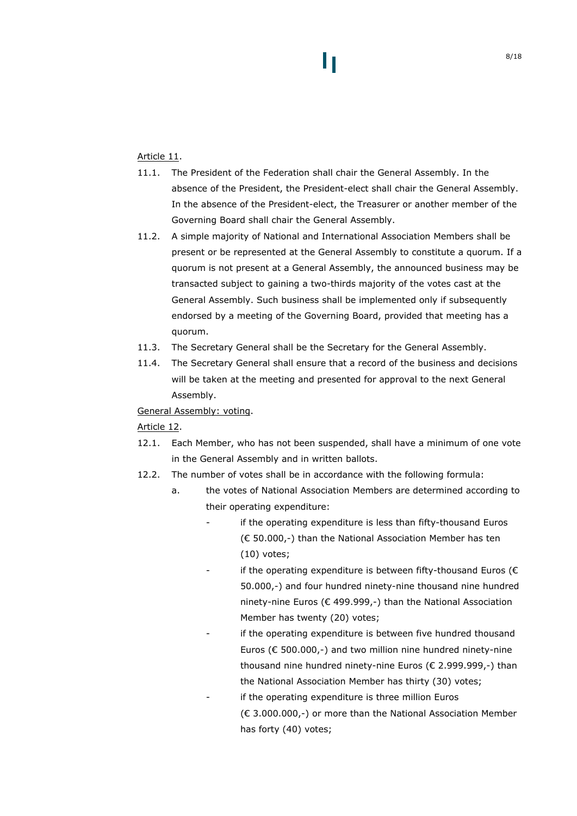### Article 11.

- 11.1. The President of the Federation shall chair the General Assembly. In the absence of the President, the President-elect shall chair the General Assembly. In the absence of the President-elect, the Treasurer or another member of the Governing Board shall chair the General Assembly.
- <span id="page-7-0"></span>11.2. A simple majority of National and International Association Members shall be present or be represented at the General Assembly to constitute a quorum. If a quorum is not present at a General Assembly, the announced business may be transacted subject to gaining a two-thirds majority of the votes cast at the General Assembly. Such business shall be implemented only if subsequently endorsed by a meeting of the Governing Board, provided that meeting has a quorum.
- 11.3. The Secretary General shall be the Secretary for the General Assembly.
- 11.4. The Secretary General shall ensure that a record of the business and decisions will be taken at the meeting and presented for approval to the next General Assembly.

General Assembly: voting.

### Article 12.

- 12.1. Each Member, who has not been suspended, shall have a minimum of one vote in the General Assembly and in written ballots.
- 12.2. The number of votes shall be in accordance with the following formula:
	- a. the votes of National Association Members are determined according to their operating expenditure:
		- if the operating expenditure is less than fifty-thousand Euros (€ 50.000,-) than the National Association Member has ten (10) votes;
		- if the operating expenditure is between fifty-thousand Euros ( $\epsilon$ 50.000,-) and four hundred ninety-nine thousand nine hundred ninety-nine Euros (€ 499.999,-) than the National Association Member has twenty (20) votes;
		- if the operating expenditure is between five hundred thousand Euros ( $\epsilon$  500.000,-) and two million nine hundred ninety-nine thousand nine hundred ninety-nine Euros (€ 2.999.999,-) than the National Association Member has thirty (30) votes;
		- if the operating expenditure is three million Euros (€ 3.000.000,-) or more than the National Association Member has forty (40) votes;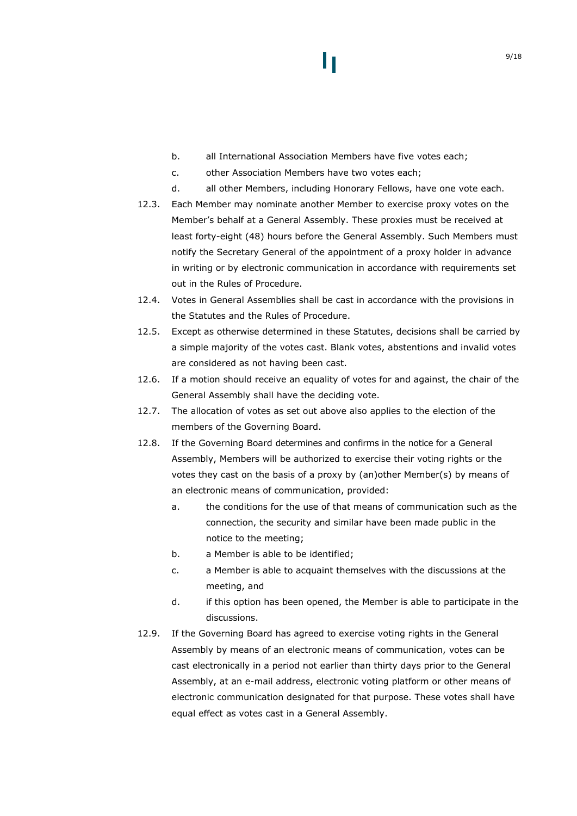- b. all International Association Members have five votes each;
- c. other Association Members have two votes each;
- d. all other Members, including Honorary Fellows, have one vote each.
- 12.3. Each Member may nominate another Member to exercise proxy votes on the Member's behalf at a General Assembly. These proxies must be received at least forty-eight (48) hours before the General Assembly. Such Members must notify the Secretary General of the appointment of a proxy holder in advance in writing or by electronic communication in accordance with requirements set out in the Rules of Procedure.
- 12.4. Votes in General Assemblies shall be cast in accordance with the provisions in the Statutes and the Rules of Procedure.
- 12.5. Except as otherwise determined in these Statutes, decisions shall be carried by a simple majority of the votes cast. Blank votes, abstentions and invalid votes are considered as not having been cast.
- 12.6. If a motion should receive an equality of votes for and against, the chair of the General Assembly shall have the deciding vote.
- 12.7. The allocation of votes as set out above also applies to the election of the members of the Governing Board.
- 12.8. If the Governing Board determines and confirms in the notice for a General Assembly, Members will be authorized to exercise their voting rights or the votes they cast on the basis of a proxy by (an)other Member(s) by means of an electronic means of communication, provided:
	- a. the conditions for the use of that means of communication such as the connection, the security and similar have been made public in the notice to the meeting;
	- b. a Member is able to be identified;
	- c. a Member is able to acquaint themselves with the discussions at the meeting, and
	- d. if this option has been opened, the Member is able to participate in the discussions.
- 12.9. If the Governing Board has agreed to exercise voting rights in the General Assembly by means of an electronic means of communication, votes can be cast electronically in a period not earlier than thirty days prior to the General Assembly, at an e-mail address, electronic voting platform or other means of electronic communication designated for that purpose. These votes shall have equal effect as votes cast in a General Assembly.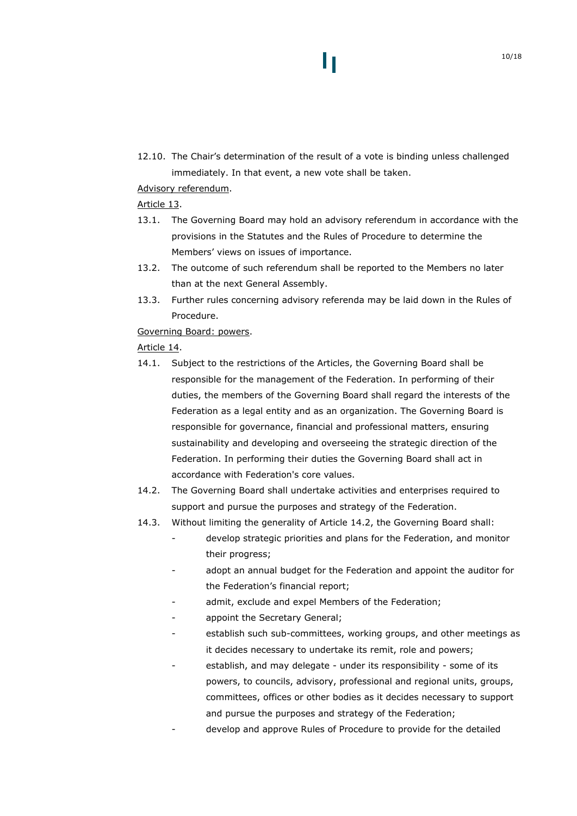12.10. The Chair's determination of the result of a vote is binding unless challenged immediately. In that event, a new vote shall be taken.

H

### Advisory referendum.

### Article 13.

- 13.1. The Governing Board may hold an advisory referendum in accordance with the provisions in the Statutes and the Rules of Procedure to determine the Members' views on issues of importance.
- 13.2. The outcome of such referendum shall be reported to the Members no later than at the next General Assembly.
- 13.3. Further rules concerning advisory referenda may be laid down in the Rules of Procedure.

### Governing Board: powers.

### Article 14.

- 14.1. Subject to the restrictions of the Articles, the Governing Board shall be responsible for the management of the Federation. In performing of their duties, the members of the Governing Board shall regard the interests of the Federation as a legal entity and as an organization. The Governing Board is responsible for governance, financial and professional matters, ensuring sustainability and developing and overseeing the strategic direction of the Federation. In performing their duties the Governing Board shall act in accordance with Federation's core values.
- <span id="page-9-0"></span>14.2. The Governing Board shall undertake activities and enterprises required to support and pursue the purposes and strategy of the Federation.
- 14.3. Without limiting the generality of Article [14.2](#page-9-0), the Governing Board shall:
	- develop strategic priorities and plans for the Federation, and monitor their progress;
	- adopt an annual budget for the Federation and appoint the auditor for the Federation's financial report;
	- admit, exclude and expel Members of the Federation;
	- appoint the Secretary General;
	- establish such sub-committees, working groups, and other meetings as it decides necessary to undertake its remit, role and powers;
	- establish, and may delegate under its responsibility some of its powers, to councils, advisory, professional and regional units, groups, committees, offices or other bodies as it decides necessary to support and pursue the purposes and strategy of the Federation;
	- develop and approve Rules of Procedure to provide for the detailed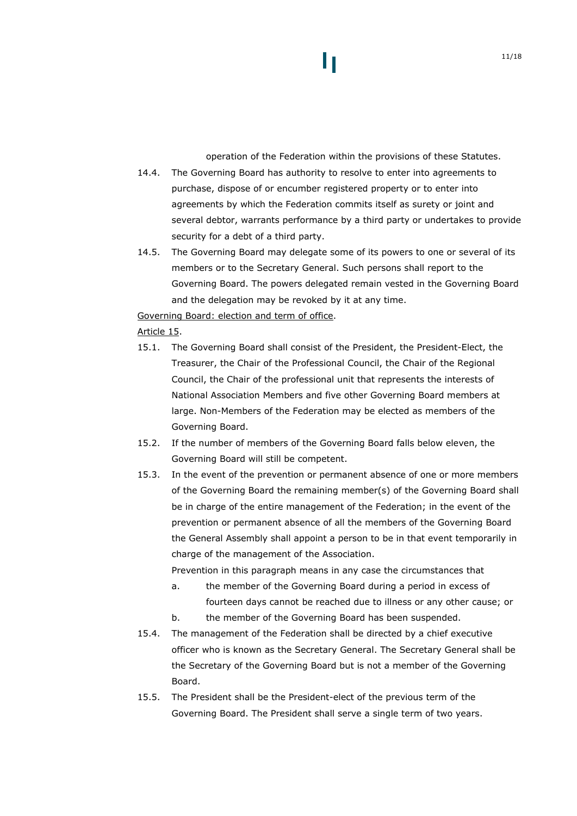operation of the Federation within the provisions of these Statutes.

- 14.4. The Governing Board has authority to resolve to enter into agreements to purchase, dispose of or encumber registered property or to enter into agreements by which the Federation commits itself as surety or joint and several debtor, warrants performance by a third party or undertakes to provide security for a debt of a third party.
- 14.5. The Governing Board may delegate some of its powers to one or several of its members or to the Secretary General. Such persons shall report to the Governing Board. The powers delegated remain vested in the Governing Board and the delegation may be revoked by it at any time.

Governing Board: election and term of office.

### Article 15.

- 15.1. The Governing Board shall consist of the President, the President-Elect, the Treasurer, the Chair of the Professional Council, the Chair of the Regional Council, the Chair of the professional unit that represents the interests of National Association Members and five other Governing Board members at large. Non-Members of the Federation may be elected as members of the Governing Board.
- 15.2. If the number of members of the Governing Board falls below eleven, the Governing Board will still be competent.
- 15.3. In the event of the prevention or permanent absence of one or more members of the Governing Board the remaining member(s) of the Governing Board shall be in charge of the entire management of the Federation; in the event of the prevention or permanent absence of all the members of the Governing Board the General Assembly shall appoint a person to be in that event temporarily in charge of the management of the Association.

Prevention in this paragraph means in any case the circumstances that

- a. the member of the Governing Board during a period in excess of fourteen days cannot be reached due to illness or any other cause; or
- b. the member of the Governing Board has been suspended.
- 15.4. The management of the Federation shall be directed by a chief executive officer who is known as the Secretary General. The Secretary General shall be the Secretary of the Governing Board but is not a member of the Governing Board.
- 15.5. The President shall be the President-elect of the previous term of the Governing Board. The President shall serve a single term of two years.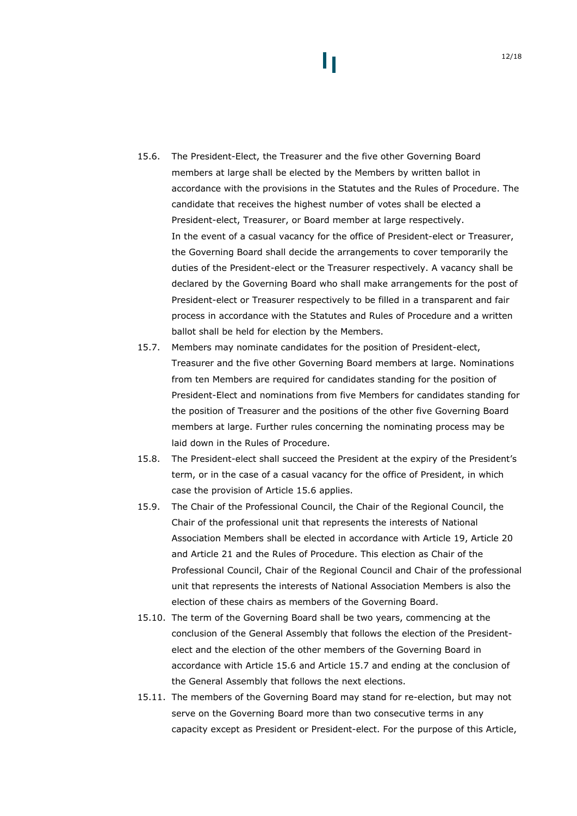- <span id="page-11-0"></span>15.6. The President-Elect, the Treasurer and the five other Governing Board members at large shall be elected by the Members by written ballot in accordance with the provisions in the Statutes and the Rules of Procedure. The candidate that receives the highest number of votes shall be elected a President-elect, Treasurer, or Board member at large respectively. In the event of a casual vacancy for the office of President-elect or Treasurer, the Governing Board shall decide the arrangements to cover temporarily the duties of the President-elect or the Treasurer respectively. A vacancy shall be declared by the Governing Board who shall make arrangements for the post of President-elect or Treasurer respectively to be filled in a transparent and fair process in accordance with the Statutes and Rules of Procedure and a written ballot shall be held for election by the Members.
- <span id="page-11-1"></span>15.7. Members may nominate candidates for the position of President-elect, Treasurer and the five other Governing Board members at large. Nominations from ten Members are required for candidates standing for the position of President-Elect and nominations from five Members for candidates standing for the position of Treasurer and the positions of the other five Governing Board members at large. Further rules concerning the nominating process may be laid down in the Rules of Procedure.
- 15.8. The President-elect shall succeed the President at the expiry of the President's term, or in the case of a casual vacancy for the office of President, in which case the provision of Article [15.6](#page-11-0) applies.
- 15.9. The Chair of the Professional Council, the Chair of the Regional Council, the Chair of the professional unit that represents the interests of National Association Members shall be elected in accordance with [Article](#page-14-0) 19, [Article](#page-14-1) 20 and [Article](#page-15-0) 21 and the Rules of Procedure. This election as Chair of the Professional Council, Chair of the Regional Council and Chair of the professional unit that represents the interests of National Association Members is also the election of these chairs as members of the Governing Board.
- 15.10. The term of the Governing Board shall be two years, commencing at the conclusion of the General Assembly that follows the election of the Presidentelect and the election of the other members of the Governing Board in accordance with Article [15.6](#page-11-0) and Article [15.7](#page-11-1) and ending at the conclusion of the General Assembly that follows the next elections.
- <span id="page-11-2"></span>15.11. The members of the Governing Board may stand for re-election, but may not serve on the Governing Board more than two consecutive terms in any capacity except as President or President-elect. For the purpose of this Article,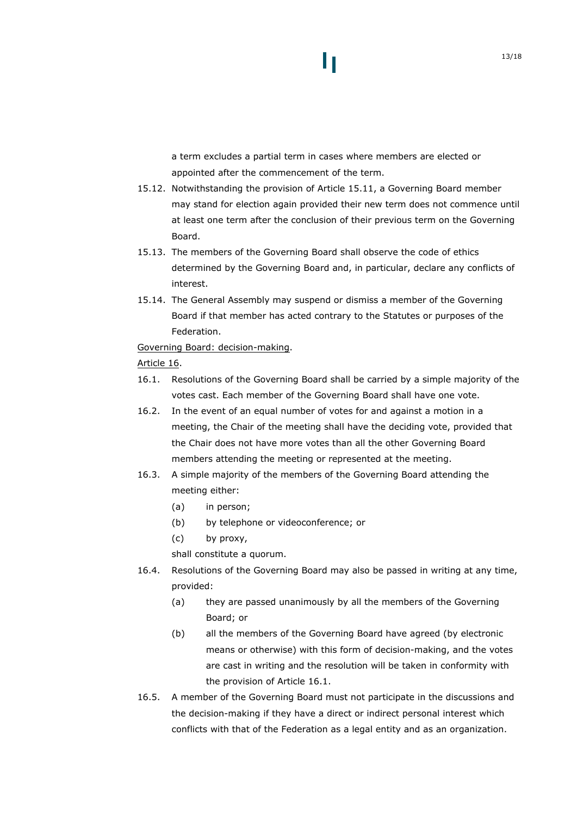# H

a term excludes a partial term in cases where members are elected or appointed after the commencement of the term.

- 15.12. Notwithstanding the provision of Article [15.11](#page-11-2), a Governing Board member may stand for election again provided their new term does not commence until at least one term after the conclusion of their previous term on the Governing Board.
- 15.13. The members of the Governing Board shall observe the code of ethics determined by the Governing Board and, in particular, declare any conflicts of interest.
- 15.14. The General Assembly may suspend or dismiss a member of the Governing Board if that member has acted contrary to the Statutes or purposes of the Federation.

Governing Board: decision-making.

### Article 16.

- <span id="page-12-0"></span>16.1. Resolutions of the Governing Board shall be carried by a simple majority of the votes cast. Each member of the Governing Board shall have one vote.
- 16.2. In the event of an equal number of votes for and against a motion in a meeting, the Chair of the meeting shall have the deciding vote, provided that the Chair does not have more votes than all the other Governing Board members attending the meeting or represented at the meeting.
- 16.3. A simple majority of the members of the Governing Board attending the meeting either:
	- (a) in person;
	- (b) by telephone or videoconference; or
	- (c) by proxy,

shall constitute a quorum.

- 16.4. Resolutions of the Governing Board may also be passed in writing at any time, provided:
	- (a) they are passed unanimously by all the members of the Governing Board; or
	- (b) all the members of the Governing Board have agreed (by electronic means or otherwise) with this form of decision-making, and the votes are cast in writing and the resolution will be taken in conformity with the provision of Article [16.1](#page-12-0).
- 16.5. A member of the Governing Board must not participate in the discussions and the decision-making if they have a direct or indirect personal interest which conflicts with that of the Federation as a legal entity and as an organization.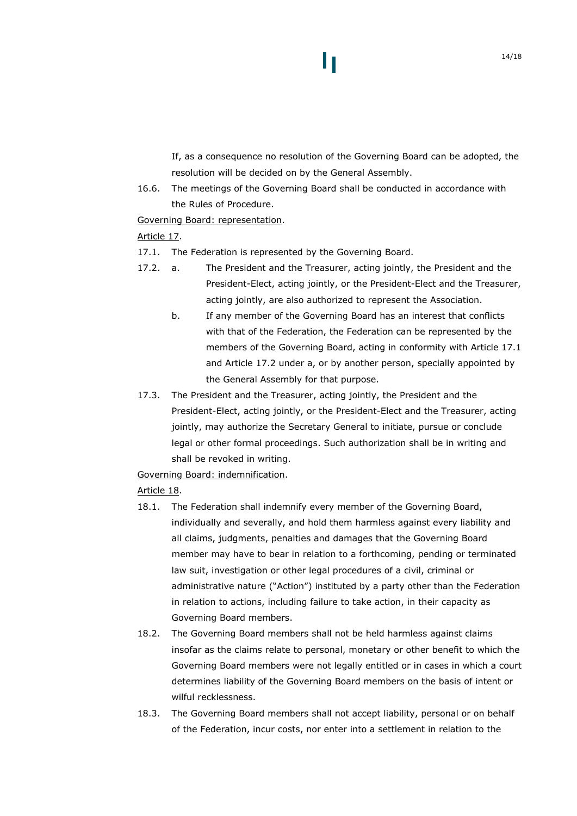If, as a consequence no resolution of the Governing Board can be adopted, the resolution will be decided on by the General Assembly.

16.6. The meetings of the Governing Board shall be conducted in accordance with the Rules of Procedure.

### Governing Board: representation.

### Article 17.

- <span id="page-13-0"></span>17.1. The Federation is represented by the Governing Board.
- <span id="page-13-1"></span>17.2. a. The President and the Treasurer, acting jointly, the President and the President-Elect, acting jointly, or the President-Elect and the Treasurer, acting jointly, are also authorized to represent the Association.
	- b. If any member of the Governing Board has an interest that conflicts with that of the Federation, the Federation can be represented by the members of the Governing Board, acting in conformity with Article [17.1](#page-13-0) and Article [17.2](#page-13-1) under a, or by another person, specially appointed by the General Assembly for that purpose.
- 17.3. The President and the Treasurer, acting jointly, the President and the President-Elect, acting jointly, or the President-Elect and the Treasurer, acting jointly, may authorize the Secretary General to initiate, pursue or conclude legal or other formal proceedings. Such authorization shall be in writing and shall be revoked in writing.

Governing Board: indemnification.

### Article 18.

- 18.1. The Federation shall indemnify every member of the Governing Board, individually and severally, and hold them harmless against every liability and all claims, judgments, penalties and damages that the Governing Board member may have to bear in relation to a forthcoming, pending or terminated law suit, investigation or other legal procedures of a civil, criminal or administrative nature ("Action") instituted by a party other than the Federation in relation to actions, including failure to take action, in their capacity as Governing Board members.
- 18.2. The Governing Board members shall not be held harmless against claims insofar as the claims relate to personal, monetary or other benefit to which the Governing Board members were not legally entitled or in cases in which a court determines liability of the Governing Board members on the basis of intent or wilful recklessness.
- 18.3. The Governing Board members shall not accept liability, personal or on behalf of the Federation, incur costs, nor enter into a settlement in relation to the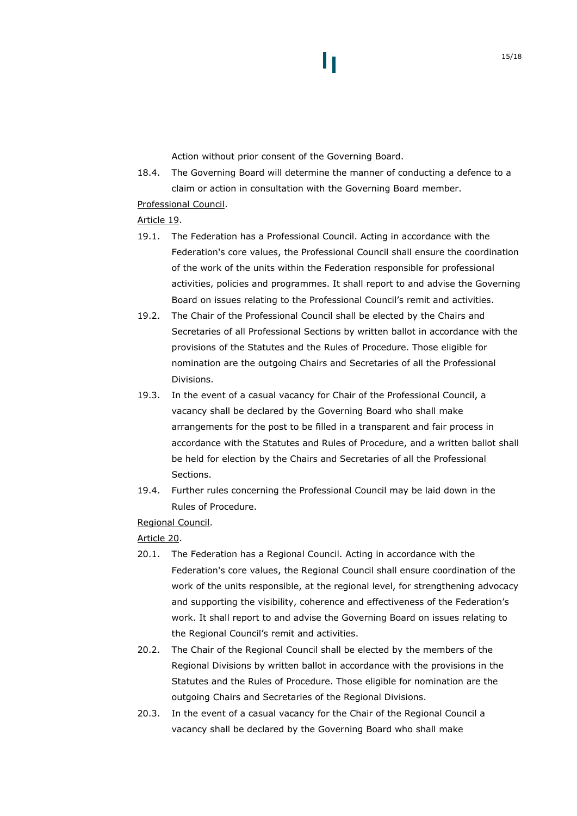Action without prior consent of the Governing Board.

18.4. The Governing Board will determine the manner of conducting a defence to a claim or action in consultation with the Governing Board member.

### Professional Council.

### <span id="page-14-0"></span>Article 19.

- 19.1. The Federation has a Professional Council. Acting in accordance with the Federation's core values, the Professional Council shall ensure the coordination of the work of the units within the Federation responsible for professional activities, policies and programmes. It shall report to and advise the Governing Board on issues relating to the Professional Council's remit and activities.
- 19.2. The Chair of the Professional Council shall be elected by the Chairs and Secretaries of all Professional Sections by written ballot in accordance with the provisions of the Statutes and the Rules of Procedure. Those eligible for nomination are the outgoing Chairs and Secretaries of all the Professional Divisions.
- 19.3. In the event of a casual vacancy for Chair of the Professional Council, a vacancy shall be declared by the Governing Board who shall make arrangements for the post to be filled in a transparent and fair process in accordance with the Statutes and Rules of Procedure, and a written ballot shall be held for election by the Chairs and Secretaries of all the Professional Sections.
- 19.4. Further rules concerning the Professional Council may be laid down in the Rules of Procedure.

Regional Council.

<span id="page-14-1"></span>Article 20.

- 20.1. The Federation has a Regional Council. Acting in accordance with the Federation's core values, the Regional Council shall ensure coordination of the work of the units responsible, at the regional level, for strengthening advocacy and supporting the visibility, coherence and effectiveness of the Federation's work. It shall report to and advise the Governing Board on issues relating to the Regional Council's remit and activities.
- 20.2. The Chair of the Regional Council shall be elected by the members of the Regional Divisions by written ballot in accordance with the provisions in the Statutes and the Rules of Procedure. Those eligible for nomination are the outgoing Chairs and Secretaries of the Regional Divisions.
- 20.3. In the event of a casual vacancy for the Chair of the Regional Council a vacancy shall be declared by the Governing Board who shall make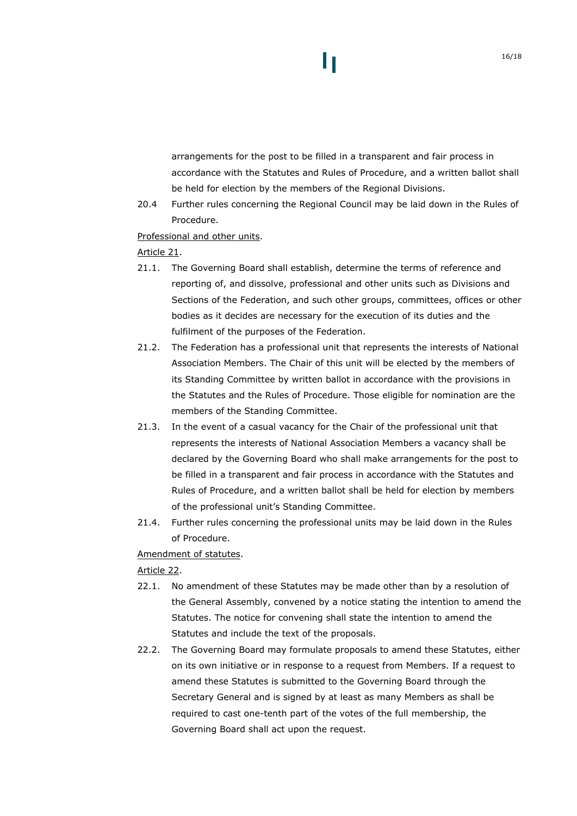# arrangements for the post to be filled in a transparent and fair process in accordance with the Statutes and Rules of Procedure, and a written ballot shall be held for election by the members of the Regional Divisions.

20.4 Further rules concerning the Regional Council may be laid down in the Rules of Procedure.

Professional and other units.

### <span id="page-15-0"></span>Article 21.

- 21.1. The Governing Board shall establish, determine the terms of reference and reporting of, and dissolve, professional and other units such as Divisions and Sections of the Federation, and such other groups, committees, offices or other bodies as it decides are necessary for the execution of its duties and the fulfilment of the purposes of the Federation.
- 21.2. The Federation has a professional unit that represents the interests of National Association Members. The Chair of this unit will be elected by the members of its Standing Committee by written ballot in accordance with the provisions in the Statutes and the Rules of Procedure. Those eligible for nomination are the members of the Standing Committee.
- 21.3. In the event of a casual vacancy for the Chair of the professional unit that represents the interests of National Association Members a vacancy shall be declared by the Governing Board who shall make arrangements for the post to be filled in a transparent and fair process in accordance with the Statutes and Rules of Procedure, and a written ballot shall be held for election by members of the professional unit's Standing Committee.
- 21.4. Further rules concerning the professional units may be laid down in the Rules of Procedure.

Amendment of statutes.

### Article 22.

- <span id="page-15-1"></span>22.1. No amendment of these Statutes may be made other than by a resolution of the General Assembly, convened by a notice stating the intention to amend the Statutes. The notice for convening shall state the intention to amend the Statutes and include the text of the proposals.
- 22.2. The Governing Board may formulate proposals to amend these Statutes, either on its own initiative or in response to a request from Members. If a request to amend these Statutes is submitted to the Governing Board through the Secretary General and is signed by at least as many Members as shall be required to cast one-tenth part of the votes of the full membership, the Governing Board shall act upon the request.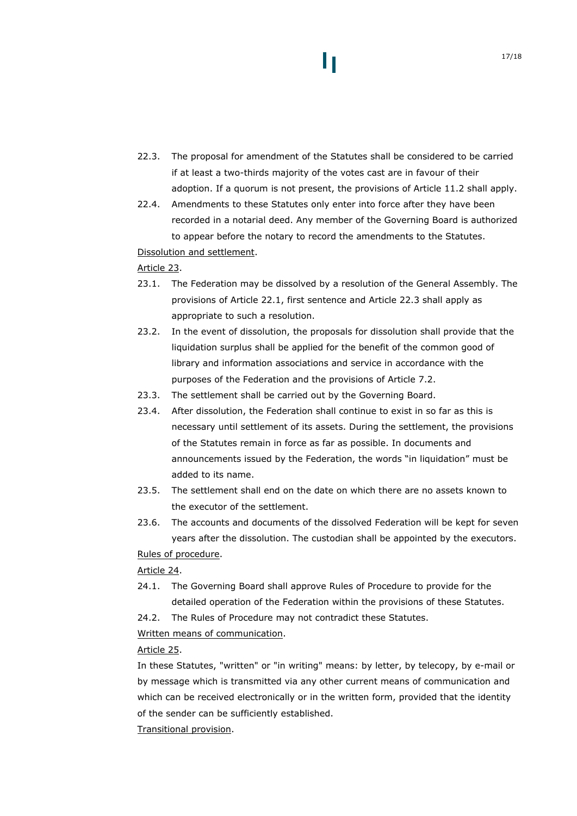- <span id="page-16-0"></span>22.3. The proposal for amendment of the Statutes shall be considered to be carried if at least a two-thirds majority of the votes cast are in favour of their adoption. If a quorum is not present, the provisions of Article [11.2](#page-7-0) shall apply.
- 22.4. Amendments to these Statutes only enter into force after they have been recorded in a notarial deed. Any member of the Governing Board is authorized to appear before the notary to record the amendments to the Statutes.

Dissolution and settlement.

### Article 23.

- 23.1. The Federation may be dissolved by a resolution of the General Assembly. The provisions of Article [22.1,](#page-15-1) first sentence and Article [22.3](#page-16-0) shall apply as appropriate to such a resolution.
- 23.2. In the event of dissolution, the proposals for dissolution shall provide that the liquidation surplus shall be applied for the benefit of the common good of library and information associations and service in accordance with the purposes of the Federation and the provisions of Article [7.2.](#page-4-0)
- 23.3. The settlement shall be carried out by the Governing Board.
- 23.4. After dissolution, the Federation shall continue to exist in so far as this is necessary until settlement of its assets. During the settlement, the provisions of the Statutes remain in force as far as possible. In documents and announcements issued by the Federation, the words "in liquidation" must be added to its name.
- 23.5. The settlement shall end on the date on which there are no assets known to the executor of the settlement.
- 23.6. The accounts and documents of the dissolved Federation will be kept for seven years after the dissolution. The custodian shall be appointed by the executors. Rules of procedure.

# Article 24.

- 24.1. The Governing Board shall approve Rules of Procedure to provide for the detailed operation of the Federation within the provisions of these Statutes.
- 24.2. The Rules of Procedure may not contradict these Statutes.

### Written means of communication.

### Article 25.

In these Statutes, "written" or "in writing" means: by letter, by telecopy, by e-mail or by message which is transmitted via any other current means of communication and which can be received electronically or in the written form, provided that the identity of the sender can be sufficiently established.

Transitional provision.